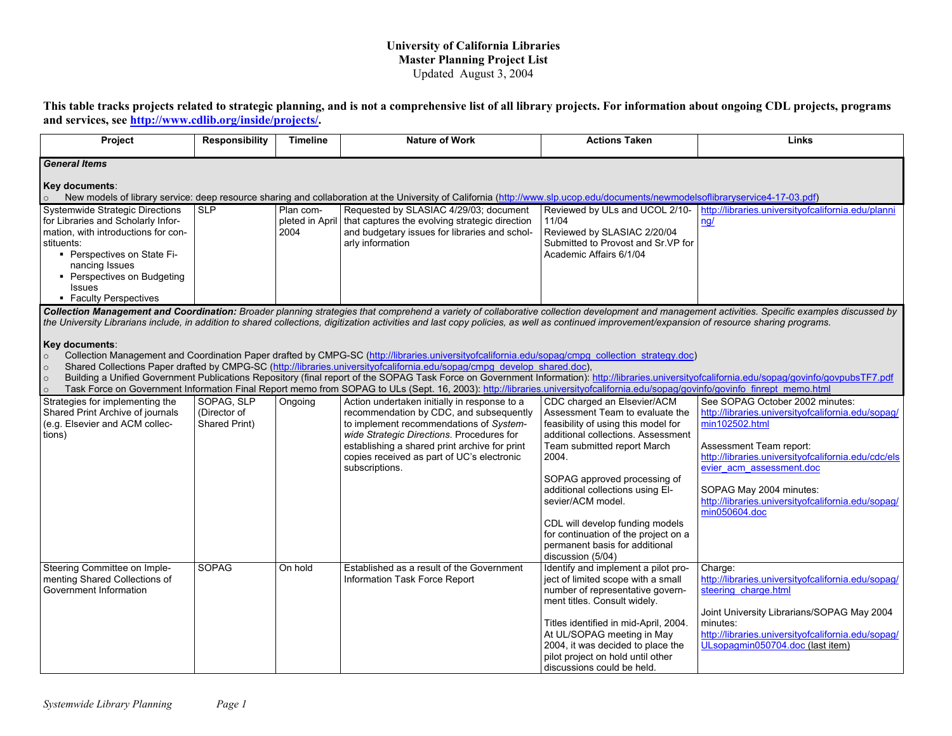## **University of California Libraries Master Planning Project List** Updated August 3, 2004

**This table tracks projects related to strategic planning, and is not a comprehensive list of all library projects. For information about ongoing CDL projects, programs and services, see<http://www.cdlib.org/inside/projects/>.** 

| Project                                                                                                                                                                                                                                                                                                                                                                                                                                                                                                                                                                                                                                                                                                                                                                                                                                                                                                                            | <b>Responsibility</b>                       | <b>Timeline</b>                      | <b>Nature of Work</b>                                                                                                                                                                                                                                                                            | <b>Actions Taken</b>                                                                                                                                                                                                                                                                                                                                                                                           | Links                                                                                                                                                                                                                                                                                                                   |  |
|------------------------------------------------------------------------------------------------------------------------------------------------------------------------------------------------------------------------------------------------------------------------------------------------------------------------------------------------------------------------------------------------------------------------------------------------------------------------------------------------------------------------------------------------------------------------------------------------------------------------------------------------------------------------------------------------------------------------------------------------------------------------------------------------------------------------------------------------------------------------------------------------------------------------------------|---------------------------------------------|--------------------------------------|--------------------------------------------------------------------------------------------------------------------------------------------------------------------------------------------------------------------------------------------------------------------------------------------------|----------------------------------------------------------------------------------------------------------------------------------------------------------------------------------------------------------------------------------------------------------------------------------------------------------------------------------------------------------------------------------------------------------------|-------------------------------------------------------------------------------------------------------------------------------------------------------------------------------------------------------------------------------------------------------------------------------------------------------------------------|--|
| <b>General Items</b>                                                                                                                                                                                                                                                                                                                                                                                                                                                                                                                                                                                                                                                                                                                                                                                                                                                                                                               |                                             |                                      |                                                                                                                                                                                                                                                                                                  |                                                                                                                                                                                                                                                                                                                                                                                                                |                                                                                                                                                                                                                                                                                                                         |  |
| Key documents:<br>New models of library service: deep resource sharing and collaboration at the University of California (http://www.slp.ucop.edu/documents/newmodelsoflibraryservice4-17-03.pdf)                                                                                                                                                                                                                                                                                                                                                                                                                                                                                                                                                                                                                                                                                                                                  |                                             |                                      |                                                                                                                                                                                                                                                                                                  |                                                                                                                                                                                                                                                                                                                                                                                                                |                                                                                                                                                                                                                                                                                                                         |  |
| <b>Systemwide Strategic Directions</b><br>for Libraries and Scholarly Infor-<br>mation, with introductions for con-<br>stituents:<br>- Perspectives on State Fi-<br>nancing Issues<br>• Perspectives on Budgeting<br><b>Issues</b><br>• Faculty Perspectives                                                                                                                                                                                                                                                                                                                                                                                                                                                                                                                                                                                                                                                                       | <b>SLP</b>                                  | Plan com-<br>pleted in April<br>2004 | Requested by SLASIAC 4/29/03; document<br>that captures the evolving strategic direction<br>and budgetary issues for libraries and schol-<br>arly information                                                                                                                                    | Reviewed by ULs and UCOL 2/10-<br>11/04<br>Reviewed by SLASIAC 2/20/04<br>Submitted to Provost and Sr.VP for<br>Academic Affairs 6/1/04                                                                                                                                                                                                                                                                        | http://libraries.universitvofcalifornia.edu/planni<br>nq/                                                                                                                                                                                                                                                               |  |
|                                                                                                                                                                                                                                                                                                                                                                                                                                                                                                                                                                                                                                                                                                                                                                                                                                                                                                                                    |                                             |                                      |                                                                                                                                                                                                                                                                                                  |                                                                                                                                                                                                                                                                                                                                                                                                                | Collection Management and Coordination: Broader planning strategies that comprehend a variety of collaborative collection development and management activities. Specific examples discussed by                                                                                                                         |  |
| the University Librarians include, in addition to shared collections, digitization activities and last copy policies, as well as continued improvement/expansion of resource sharing programs.<br>Key documents:<br>Collection Management and Coordination Paper drafted by CMPG-SC (http://libraries.universityofcalifornia.edu/sopag/cmpg_collection_strategy.doc)<br>$\circ$<br>Shared Collections Paper drafted by CMPG-SC (http://libraries.universityofcalifornia.edu/sopag/cmpg_develop_shared.doc),<br>$\circ$<br>Building a Unified Government Publications Repository (final report of the SOPAG Task Force on Government Information): http://libraries.universityofcalifornia.edu/sopag/govinfo/govpubsTF7.pdf<br>$\circ$<br>Task Force on Government Information Final Report memo from SOPAG to ULs (Sept. 16, 2003): http://libraries.universityofcalifornia.edu/sopag/govinfo/govinfo finrept memo.html<br>$\circ$ |                                             |                                      |                                                                                                                                                                                                                                                                                                  |                                                                                                                                                                                                                                                                                                                                                                                                                |                                                                                                                                                                                                                                                                                                                         |  |
| Strategies for implementing the<br>Shared Print Archive of journals<br>(e.g. Elsevier and ACM collec-<br>tions)                                                                                                                                                                                                                                                                                                                                                                                                                                                                                                                                                                                                                                                                                                                                                                                                                    | SOPAG, SLP<br>(Director of<br>Shared Print) | Ongoing                              | Action undertaken initially in response to a<br>recommendation by CDC, and subsequently<br>to implement recommendations of System-<br>wide Strategic Directions. Procedures for<br>establishing a shared print archive for print<br>copies received as part of UC's electronic<br>subscriptions. | CDC charged an Elsevier/ACM<br>Assessment Team to evaluate the<br>feasibility of using this model for<br>additional collections. Assessment<br>Team submitted report March<br>2004.<br>SOPAG approved processing of<br>additional collections using El-<br>sevier/ACM model.<br>CDL will develop funding models<br>for continuation of the project on a<br>permanent basis for additional<br>discussion (5/04) | See SOPAG October 2002 minutes:<br>http://libraries.universityofcalifornia.edu/sopaq/<br>min102502.html<br>Assessment Team report:<br>http://libraries.universityofcalifornia.edu/cdc/els<br>evier acm assessment.doc<br>SOPAG May 2004 minutes:<br>http://libraries.universityofcalifornia.edu/sopag/<br>min050604.doc |  |
| Steering Committee on Imple-<br>menting Shared Collections of<br>Government Information                                                                                                                                                                                                                                                                                                                                                                                                                                                                                                                                                                                                                                                                                                                                                                                                                                            | <b>SOPAG</b>                                | On hold                              | Established as a result of the Government<br>Information Task Force Report                                                                                                                                                                                                                       | Identify and implement a pilot pro-<br>ject of limited scope with a small<br>number of representative govern-<br>ment titles. Consult widely.<br>Titles identified in mid-April, 2004.<br>At UL/SOPAG meeting in May<br>2004, it was decided to place the<br>pilot project on hold until other<br>discussions could be held.                                                                                   | Charge:<br>http://libraries.universityofcalifornia.edu/sopag/<br>steering charge.html<br>Joint University Librarians/SOPAG May 2004<br>minutes:<br>http://libraries.universityofcalifornia.edu/sopag/<br>ULsopagmin050704.doc (last item)                                                                               |  |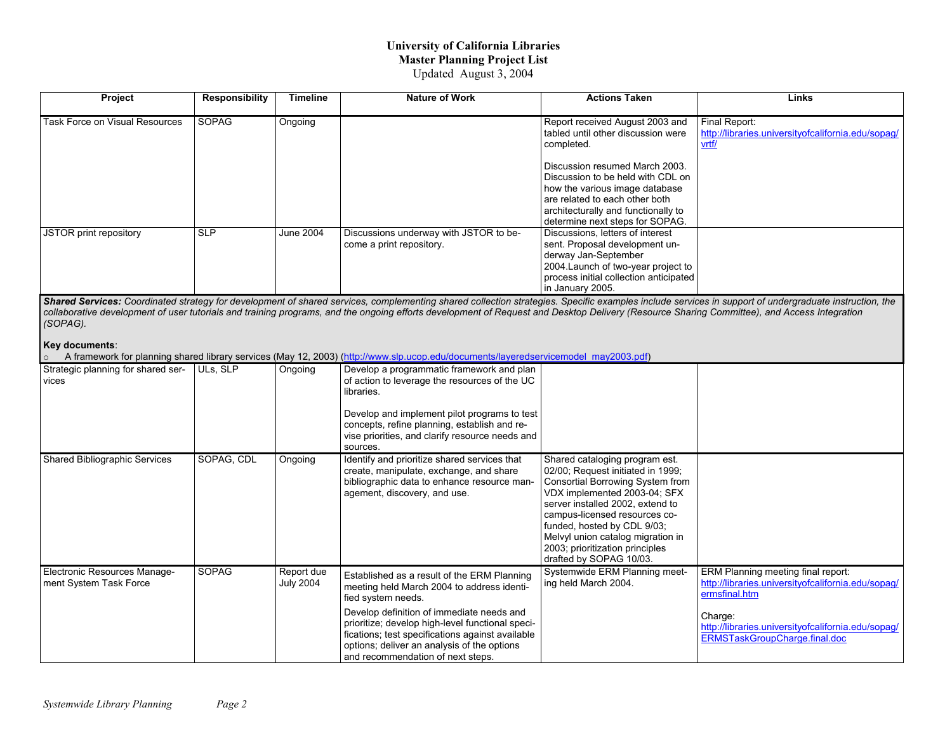## **University of California Libraries Master Planning Project List** Updated August 3, 2004

| <b>Project</b>                 | Responsibility | Timeline         | <b>Nature of Work</b>                                              | <b>Actions Taken</b>                                                                                                                                                                                              | Links                                                                                                                                                                                    |
|--------------------------------|----------------|------------------|--------------------------------------------------------------------|-------------------------------------------------------------------------------------------------------------------------------------------------------------------------------------------------------------------|------------------------------------------------------------------------------------------------------------------------------------------------------------------------------------------|
| Task Force on Visual Resources | <b>SOPAG</b>   | Ongoing          |                                                                    | Report received August 2003 and<br>tabled until other discussion were<br>completed.                                                                                                                               | Final Report:<br>http://libraries.universityofcalifornia.edu/sopag/<br><u>vrtf/</u>                                                                                                      |
|                                |                |                  |                                                                    | Discussion resumed March 2003.<br>Discussion to be held with CDL on<br>how the various image database<br>are related to each other both<br>architecturally and functionally to<br>determine next steps for SOPAG. |                                                                                                                                                                                          |
| JSTOR print repository         | <b>SLP</b>     | <b>June 2004</b> | Discussions underway with JSTOR to be-<br>come a print repository. | Discussions, letters of interest<br>sent. Proposal development un-<br>derway Jan-September<br>2004. Launch of two-year project to<br>process initial collection anticipated<br>in January 2005.                   | Chanal Capitage: Capulinghal shekam fan derrichennyd af shanal agudan american shanal salladiga Cuadita argumeta instrument af consadration da instrument in derriche instrumented in de |

*Shared Services: Coordinated strategy for development of shared services, complementing shared collection strategies. Specific examples include services in support of undergraduate instruction, the collaborative development of user tutorials and training programs, and the ongoing efforts development of Request and Desktop Delivery (Resource Sharing Committee), and Access Integration (SOPAG).* 

## **Key documents**:

<sup>o</sup>A framework for planning shared library services (May 12, 2003) ([http://www.slp.ucop.edu/documents/layeredservicemodel\\_may2003.pdf](http://www.slp.ucop.edu/documents/layeredservicemodel_may2003.pdf))

|                                                        |              |                                | A Haritework for planning shared library services (May 12, 2003) (Http://www.sip.ucop.edu/documents/layeredservicemoder may2003.pdf)                                                                                                                                                                                                                     |                                                                                                                                                                                                                                                                                                                                                |                                                                                                                                                                                                             |
|--------------------------------------------------------|--------------|--------------------------------|----------------------------------------------------------------------------------------------------------------------------------------------------------------------------------------------------------------------------------------------------------------------------------------------------------------------------------------------------------|------------------------------------------------------------------------------------------------------------------------------------------------------------------------------------------------------------------------------------------------------------------------------------------------------------------------------------------------|-------------------------------------------------------------------------------------------------------------------------------------------------------------------------------------------------------------|
| Strategic planning for shared ser-<br>vices            | ULs, SLP     | Ongoing                        | Develop a programmatic framework and plan<br>of action to leverage the resources of the UC<br>libraries.<br>Develop and implement pilot programs to test<br>concepts, refine planning, establish and re-<br>vise priorities, and clarify resource needs and<br>sources.                                                                                  |                                                                                                                                                                                                                                                                                                                                                |                                                                                                                                                                                                             |
| Shared Bibliographic Services                          | SOPAG, CDL   | Ongoing                        | Identify and prioritize shared services that<br>create, manipulate, exchange, and share<br>bibliographic data to enhance resource man-<br>agement, discovery, and use.                                                                                                                                                                                   | Shared cataloging program est.<br>02/00; Request initiated in 1999;<br>Consortial Borrowing System from<br>VDX implemented 2003-04; SFX<br>server installed 2002, extend to<br>campus-licensed resources co-<br>funded, hosted by CDL 9/03;<br>Melvyl union catalog migration in<br>2003; prioritization principles<br>drafted by SOPAG 10/03. |                                                                                                                                                                                                             |
| Electronic Resources Manage-<br>ment System Task Force | <b>SOPAG</b> | Report due<br><b>July 2004</b> | Established as a result of the ERM Planning<br>meeting held March 2004 to address identi-<br>fied system needs.<br>Develop definition of immediate needs and<br>prioritize; develop high-level functional speci-<br>fications; test specifications against available<br>options; deliver an analysis of the options<br>and recommendation of next steps. | Systemwide ERM Planning meet-<br>ing held March 2004.                                                                                                                                                                                                                                                                                          | ERM Planning meeting final report:<br>http://libraries.universityofcalifornia.edu/sopaq/<br>ermsfinal.htm<br>Charge:<br>http://libraries.universityofcalifornia.edu/sopaq/<br>ERMSTaskGroupCharge.final.doc |